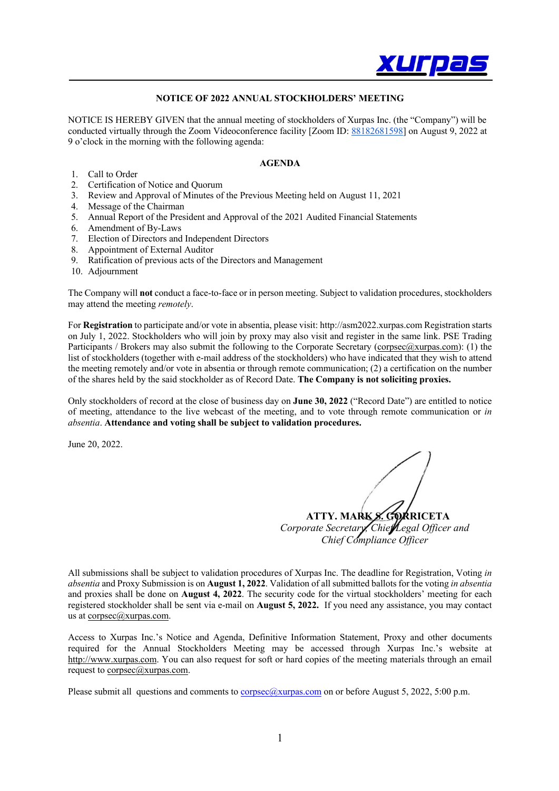

## **NOTICE OF 2022 ANNUAL STOCKHOLDERS' MEETING**

NOTICE IS HEREBY GIVEN that the annual meeting of stockholders of Xurpas Inc. (the "Company") will be conducted virtually through the Zoom Videoconference facility [Zoom ID: 88182681598] on August 9, 2022 at 9 o'clock in the morning with the following agenda:

#### **AGENDA**

- 
- 1. Call to Order<br>2. Certification 2. Certification of Notice and Quorum
- 3. Review and Approval of Minutes of the Previous Meeting held on August 11, 2021
- 4. Message of the Chairman
- 5. Annual Report of the President and Approval of the 2021 Audited Financial Statements
- 6. Amendment of By-Laws
- 7. Election of Directors and Independent Directors
- 8. Appointment of External Auditor
- 9. Ratification of previous acts of the Directors and Management
- 10. Adjournment

The Company will **not** conduct a face-to-face or in person meeting. Subject to validation procedures, stockholders may attend the meeting *remotely*.

For **Registration** to participate and/or vote in absentia, please visit: http://asm2022.xurpas.com Registration starts on July 1, 2022. Stockholders who will join by proxy may also visit and register in the same link. PSE Trading Participants / Brokers may also submit the following to the Corporate Secretary (corpsec@xurpas.com): (1) the list of stockholders (together with e-mail address of the stockholders) who have indicated that they wish to attend the meeting remotely and/or vote in absentia or through remote communication; (2) a certification on the number of the shares held by the said stockholder as of Record Date. **The Company is not soliciting proxies.**

Only stockholders of record at the close of business day on **June 30, 2022** ("Record Date") are entitled to notice of meeting, attendance to the live webcast of the meeting, and to vote through remote communication or *in absentia*. **Attendance and voting shall be subject to validation procedures.** 

June 20, 2022.

**ATTY. MARK S. GORRICETA** *Corporate Secretary, Chief Legal Officer and Chief Compliance Officer*

All submissions shall be subject to validation procedures of Xurpas Inc. The deadline for Registration, Voting *in absentia* and Proxy Submission is on **August 1, 2022**. Validation of all submitted ballots for the voting *in absentia* and proxies shall be done on **August 4, 2022**. The security code for the virtual stockholders' meeting for each registered stockholder shall be sent via e-mail on **August 5, 2022.** If you need any assistance, you may contact us at  $corpsec(a)x$ urpas.com.

Access to Xurpas Inc.'s Notice and Agenda, Definitive Information Statement, Proxy and other documents required for the Annual Stockholders Meeting may be accessed through Xurpas Inc.'s website at http://www.xurpas.com. You can also request for soft or hard copies of the meeting materials through an email request to corpsec@xurpas.com.

Please submit all questions and comments to corpsec@xurpas.com on or before August 5, 2022, 5:00 p.m.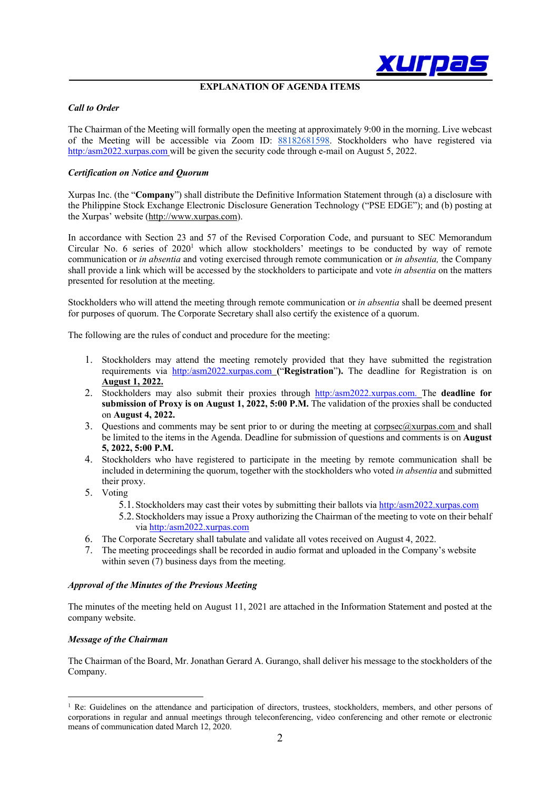

### **EXPLANATION OF AGENDA ITEMS**

#### *Call to Order*

The Chairman of the Meeting will formally open the meeting at approximately 9:00 in the morning. Live webcast of the Meeting will be accessible via Zoom ID: 88182681598. Stockholders who have registered via http:/asm2022.xurpas.com will be given the security code through e-mail on August 5, 2022.

## *Certification on Notice and Quorum*

Xurpas Inc. (the "**Company**") shall distribute the Definitive Information Statement through (a) a disclosure with the Philippine Stock Exchange Electronic Disclosure Generation Technology ("PSE EDGE"); and (b) posting at the Xurpas' website (http://www.xurpas.com).

In accordance with Section 23 and 57 of the Revised Corporation Code, and pursuant to SEC Memorandum Circular No. 6 series of 2020<sup>1</sup> which allow stockholders' meetings to be conducted by way of remote communication or *in absentia* and voting exercised through remote communication or *in absentia,* the Company shall provide a link which will be accessed by the stockholders to participate and vote *in absentia* on the matters presented for resolution at the meeting.

Stockholders who will attend the meeting through remote communication or *in absentia* shall be deemed present for purposes of quorum. The Corporate Secretary shall also certify the existence of a quorum.

The following are the rules of conduct and procedure for the meeting:

- 1. Stockholders may attend the meeting remotely provided that they have submitted the registration requirements via http:/asm2022.xurpas.com **(**"**Registration**"**).** The deadline for Registration is on **August 1, 2022.**
- 2. Stockholders may also submit their proxies through http:/asm2022.xurpas.com. The **deadline for submission of Proxy is on August 1, 2022, 5:00 P.M.** The validation of the proxies shall be conducted on **August 4, 2022.**
- 3. Questions and comments may be sent prior to or during the meeting at  $\frac{\text{corpsec}(a)}{\text{surpase}(a)}$  and shall be limited to the items in the Agenda. Deadline for submission of questions and comments is on **August 5, 2022, 5:00 P.M.**
- 4. Stockholders who have registered to participate in the meeting by remote communication shall be included in determining the quorum, together with the stockholders who voted *in absentia* and submitted their proxy.
- 5. Voting
	- 5.1. Stockholders may cast their votes by submitting their ballots via http:/asm2022.xurpas.com
	- 5.2. Stockholders may issue a Proxy authorizing the Chairman of the meeting to vote on their behalf via http:/asm2022.xurpas.com
- 6. The Corporate Secretary shall tabulate and validate all votes received on August 4, 2022.
- 7. The meeting proceedings shall be recorded in audio format and uploaded in the Company's website within seven (7) business days from the meeting.

#### *Approval of the Minutes of the Previous Meeting*

The minutes of the meeting held on August 11, 2021 are attached in the Information Statement and posted at the company website.

#### *Message of the Chairman*

The Chairman of the Board, Mr. Jonathan Gerard A. Gurango, shall deliver his message to the stockholders of the Company.

 $<sup>1</sup>$  Re: Guidelines on the attendance and participation of directors, trustees, stockholders, members, and other persons of</sup> corporations in regular and annual meetings through teleconferencing, video conferencing and other remote or electronic means of communication dated March 12, 2020.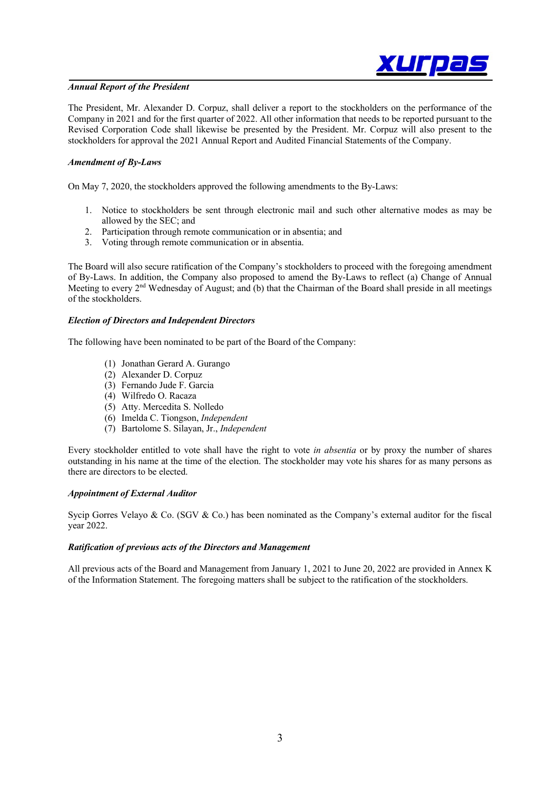

### *Annual Report of the President*

The President, Mr. Alexander D. Corpuz, shall deliver a report to the stockholders on the performance of the Company in 2021 and for the first quarter of 2022. All other information that needs to be reported pursuant to the Revised Corporation Code shall likewise be presented by the President. Mr. Corpuz will also present to the stockholders for approval the 2021 Annual Report and Audited Financial Statements of the Company.

### *Amendment of By-Laws*

On May 7, 2020, the stockholders approved the following amendments to the By-Laws:

- 1. Notice to stockholders be sent through electronic mail and such other alternative modes as may be allowed by the SEC; and
- 2. Participation through remote communication or in absentia; and
- 3. Voting through remote communication or in absentia.

The Board will also secure ratification of the Company's stockholders to proceed with the foregoing amendment of By-Laws. In addition, the Company also proposed to amend the By-Laws to reflect (a) Change of Annual Meeting to every 2<sup>nd</sup> Wednesday of August; and (b) that the Chairman of the Board shall preside in all meetings of the stockholders.

### *Election of Directors and Independent Directors*

The following have been nominated to be part of the Board of the Company:

- (1) Jonathan Gerard A. Gurango
- (2) Alexander D. Corpuz
- (3) Fernando Jude F. Garcia
- (4) Wilfredo O. Racaza
- (5) Atty. Mercedita S. Nolledo
- (6) Imelda C. Tiongson, *Independent*
- (7) Bartolome S. Silayan, Jr., *Independent*

Every stockholder entitled to vote shall have the right to vote *in absentia* or by proxy the number of shares outstanding in his name at the time of the election. The stockholder may vote his shares for as many persons as there are directors to be elected.

#### *Appointment of External Auditor*

Sycip Gorres Velayo & Co. (SGV & Co.) has been nominated as the Company's external auditor for the fiscal year 2022.

### *Ratification of previous acts of the Directors and Management*

All previous acts of the Board and Management from January 1, 2021 to June 20, 2022 are provided in Annex K of the Information Statement. The foregoing matters shall be subject to the ratification of the stockholders.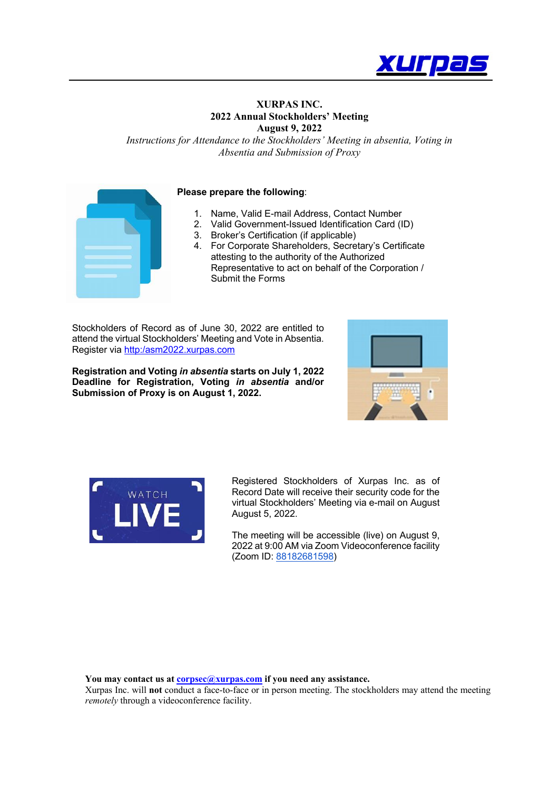

## **XURPAS INC. 2022 Annual Stockholders' Meeting August 9, 2022**

*Instructions for Attendance to the Stockholders' Meeting in absentia, Voting in Absentia and Submission of Proxy*



### **Please prepare the following**:

- 1. Name, Valid E-mail Address, Contact Number
- 2. Valid Government-Issued Identification Card (ID)
- 3. Broker's Certification (if applicable)
- 4. For Corporate Shareholders, Secretary's Certificate attesting to the authority of the Authorized Representative to act on behalf of the Corporation / Submit the Forms

Stockholders of Record as of June 30, 2022 are entitled to attend the virtual Stockholders' Meeting and Vote in Absentia. Register via http:/asm2022.xurpas.com

**Registration and Voting** *in absentia* **starts on July 1, 2022 Deadline for Registration, Voting** *in absentia* **and/or Submission of Proxy is on August 1, 2022.**





Registered Stockholders of Xurpas Inc. as of Record Date will receive their security code for the virtual Stockholders' Meeting via e-mail on August August 5, 2022.

The meeting will be accessible (live) on August 9, 2022 at 9:00 AM via Zoom Videoconference facility (Zoom ID: 88182681598)

**You may contact us at corpsec@xurpas.com if you need any assistance.**

Xurpas Inc. will **not** conduct a face-to-face or in person meeting. The stockholders may attend the meeting *remotely* through a videoconference facility.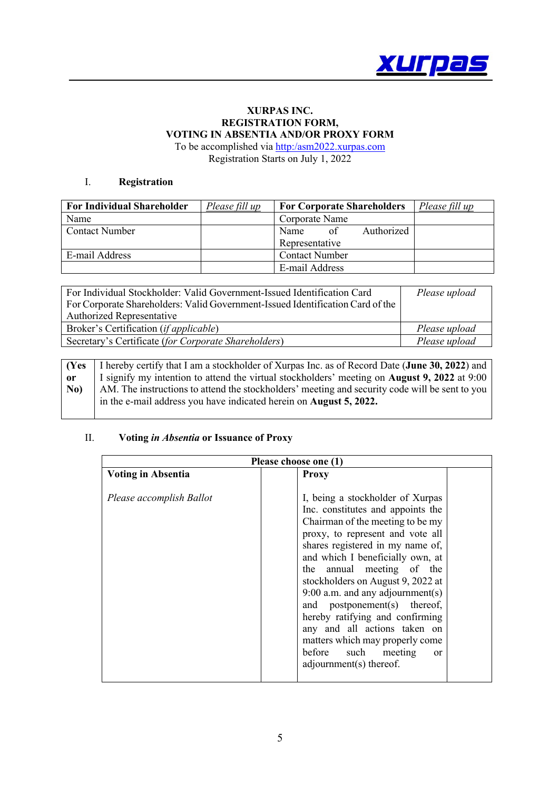

# **XURPAS INC. REGISTRATION FORM, VOTING IN ABSENTIA AND/OR PROXY FORM**

To be accomplished via http:/asm2022.xurpas.com Registration Starts on July 1, 2022

## I. **Registration**

| <b>For Individual Shareholder</b> | Please fill up | <b>For Corporate Shareholders</b> | Please fill up |
|-----------------------------------|----------------|-----------------------------------|----------------|
| Name                              |                | Corporate Name                    |                |
| <b>Contact Number</b>             |                | Authorized<br>Name<br>of          |                |
|                                   |                | Representative                    |                |
| E-mail Address                    |                | <b>Contact Number</b>             |                |
|                                   |                | E-mail Address                    |                |

| For Individual Stockholder: Valid Government-Issued Identification Card        | Please upload |  |
|--------------------------------------------------------------------------------|---------------|--|
| For Corporate Shareholders: Valid Government-Issued Identification Card of the |               |  |
| <b>Authorized Representative</b>                                               |               |  |
| Broker's Certification ( <i>if applicable</i> )                                | Please upload |  |
| Secretary's Certificate (for Corporate Shareholders)                           | Please upload |  |

**(Yes or No)** I hereby certify that I am a stockholder of Xurpas Inc. as of Record Date (**June 30, 2022**) and I signify my intention to attend the virtual stockholders' meeting on **August 9, 2022** at 9:00 AM. The instructions to attend the stockholders' meeting and security code will be sent to you in the e-mail address you have indicated herein on **August 5, 2022.**

## II. **Voting** *in Absentia* **or Issuance of Proxy**

| Please choose one (1)     |                                                                                                                                                                                                                                                                                                                                                                                                                                                                                                                                            |  |  |  |
|---------------------------|--------------------------------------------------------------------------------------------------------------------------------------------------------------------------------------------------------------------------------------------------------------------------------------------------------------------------------------------------------------------------------------------------------------------------------------------------------------------------------------------------------------------------------------------|--|--|--|
| <b>Voting in Absentia</b> | <b>Proxy</b>                                                                                                                                                                                                                                                                                                                                                                                                                                                                                                                               |  |  |  |
| Please accomplish Ballot  | I, being a stockholder of Xurpas<br>Inc. constitutes and appoints the<br>Chairman of the meeting to be my<br>proxy, to represent and vote all<br>shares registered in my name of,<br>and which I beneficially own, at<br>the annual meeting of the<br>stockholders on August 9, 2022 at<br>9:00 a.m. and any adjournment(s)<br>and postponement(s) thereof,<br>hereby ratifying and confirming<br>any and all actions taken on<br>matters which may properly come<br>before<br>such<br>meeting<br><sub>or</sub><br>adjournment(s) thereof. |  |  |  |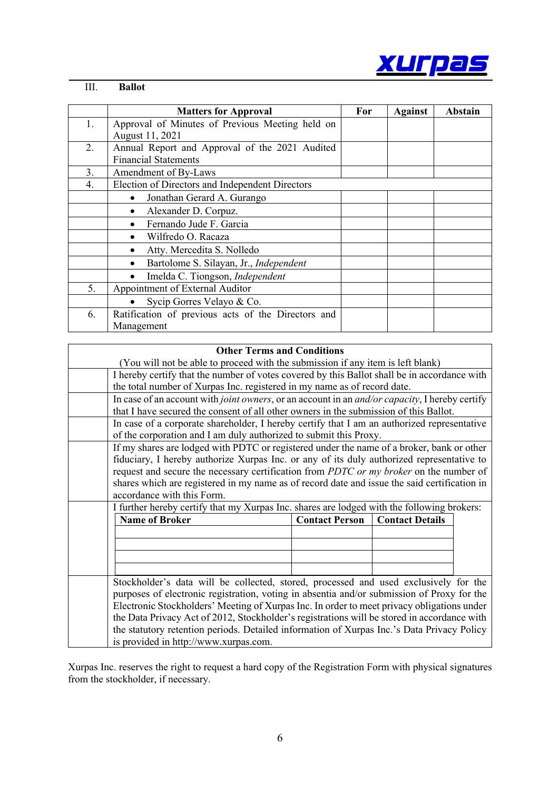

# III. **Ballot**

 $\overline{\phantom{a}}$ 

|    | <b>Matters for Approval</b>                        | For | <b>Against</b> | <b>Abstain</b> |
|----|----------------------------------------------------|-----|----------------|----------------|
| 1. | Approval of Minutes of Previous Meeting held on    |     |                |                |
|    | August 11, 2021                                    |     |                |                |
| 2. | Annual Report and Approval of the 2021 Audited     |     |                |                |
|    | <b>Financial Statements</b>                        |     |                |                |
| 3. | Amendment of By-Laws                               |     |                |                |
| 4. | Election of Directors and Independent Directors    |     |                |                |
|    | Jonathan Gerard A. Gurango                         |     |                |                |
|    | Alexander D. Corpuz.                               |     |                |                |
|    | Fernando Jude F. Garcia                            |     |                |                |
|    | Wilfredo O. Racaza                                 |     |                |                |
|    | Atty. Mercedita S. Nolledo<br>$\bullet$            |     |                |                |
|    | Bartolome S. Silayan, Jr., Independent<br>٠        |     |                |                |
|    | Imelda C. Tiongson, Independent                    |     |                |                |
| 5. | Appointment of External Auditor                    |     |                |                |
|    | Sycip Gorres Velayo & Co.                          |     |                |                |
| 6. | Ratification of previous acts of the Directors and |     |                |                |
|    | Management                                         |     |                |                |

# **Other Terms and Conditions**

| (You will not be able to proceed with the submission if any item is left blank)                                                     |                       |                        |  |
|-------------------------------------------------------------------------------------------------------------------------------------|-----------------------|------------------------|--|
| I hereby certify that the number of votes covered by this Ballot shall be in accordance with                                        |                       |                        |  |
| the total number of Xurpas Inc. registered in my name as of record date.                                                            |                       |                        |  |
| In case of an account with joint owners, or an account in an <i>and/or capacity</i> , I hereby certify                              |                       |                        |  |
| that I have secured the consent of all other owners in the submission of this Ballot.                                               |                       |                        |  |
| In case of a corporate shareholder, I hereby certify that I am an authorized representative                                         |                       |                        |  |
| of the corporation and I am duly authorized to submit this Proxy.                                                                   |                       |                        |  |
| If my shares are lodged with PDTC or registered under the name of a broker, bank or other                                           |                       |                        |  |
| fiduciary, I hereby authorize Xurpas Inc. or any of its duly authorized representative to                                           |                       |                        |  |
| request and secure the necessary certification from PDTC or my broker on the number of                                              |                       |                        |  |
| shares which are registered in my name as of record date and issue the said certification in                                        |                       |                        |  |
| accordance with this Form.                                                                                                          |                       |                        |  |
| I further hereby certify that my Xurpas Inc. shares are lodged with the following brokers:                                          |                       |                        |  |
| <b>Name of Broker</b>                                                                                                               | <b>Contact Person</b> | <b>Contact Details</b> |  |
|                                                                                                                                     |                       |                        |  |
|                                                                                                                                     |                       |                        |  |
|                                                                                                                                     |                       |                        |  |
|                                                                                                                                     |                       |                        |  |
| Stockholder's data will be collected, stored, processed and used exclusively for the                                                |                       |                        |  |
| purposes of electronic registration, voting in absentia and/or submission of Proxy for the                                          |                       |                        |  |
| Electronic Stockholders' Meeting of Xurpas Inc. In order to meet privacy obligations under                                          |                       |                        |  |
| the Data Privacy Act of 2012, Stockholder's registrations will be stored in accordance with                                         |                       |                        |  |
| the statutory retention periods. Detailed information of Xurpas Inc.'s Data Privacy Policy<br>is provided in http://www.xurpas.com. |                       |                        |  |
|                                                                                                                                     |                       |                        |  |

Xurpas Inc. reserves the right to request a hard copy of the Registration Form with physical signatures from the stockholder, if necessary.